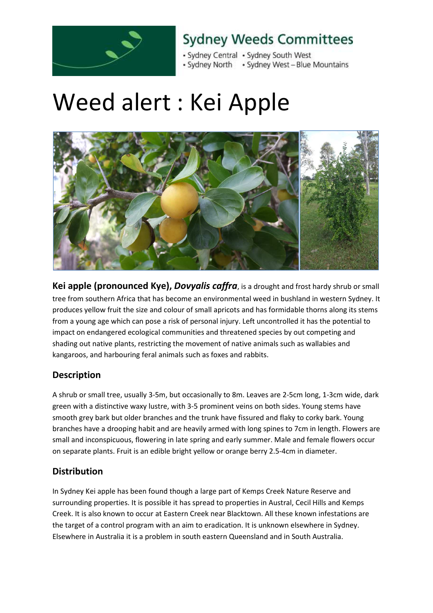

### **Sydney Weeds Committees**

- Sydney Central - Sydney South West • Sydney North • Sydney West - Blue Mountains

# Weed alert : Kei Apple



**Kei apple (pronounced Kye),** *Dovyalis caffra*, is a drought and frost hardy shrub or small tree from southern Africa that has become an environmental weed in bushland in western Sydney. It produces yellow fruit the size and colour of small apricots and has formidable thorns along its stems from a young age which can pose a risk of personal injury. Left uncontrolled it has the potential to impact on endangered ecological communities and threatened species by out competing and shading out native plants, restricting the movement of native animals such as wallabies and kangaroos, and harbouring feral animals such as foxes and rabbits.

### **Description**

A shrub or small tree, usually 3-5m, but occasionally to 8m. Leaves are 2-5cm long, 1-3cm wide, dark green with a distinctive waxy lustre, with 3-5 prominent veins on both sides. Young stems have smooth grey bark but older branches and the trunk have fissured and flaky to corky bark. Young branches have a drooping habit and are heavily armed with long spines to 7cm in length. Flowers are small and inconspicuous, flowering in late spring and early summer. Male and female flowers occur on separate plants. Fruit is an edible bright yellow or orange berry 2.5-4cm in diameter.

### **Distribution**

In Sydney Kei apple has been found though a large part of Kemps Creek Nature Reserve and surrounding properties. It is possible it has spread to properties in Austral, Cecil Hills and Kemps Creek. It is also known to occur at Eastern Creek near Blacktown. All these known infestations are the target of a control program with an aim to eradication. It is unknown elsewhere in Sydney. Elsewhere in Australia it is a problem in south eastern Queensland and in South Australia.